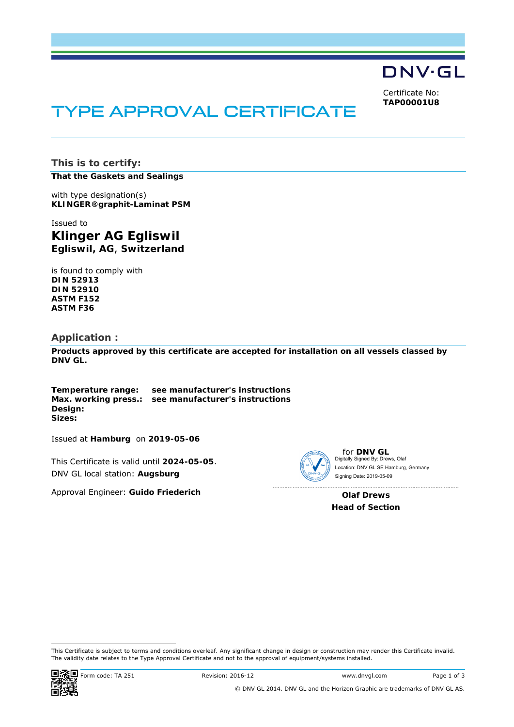

Certificate No: **TAP00001U8**

# TYPE APPROVAL CERTIFICATE

**This is to certify:** 

**That the Gaskets and Sealings**

with type designation(s) **KLINGER®graphit-Laminat PSM**

Issued to **Klinger AG Egliswil Egliswil, AG**, **Switzerland** 

is found to comply with **DIN 52913 DIN 52910 ASTM F152 ASTM F36** 

#### **Application :**

**Products approved by this certificate are accepted for installation on all vessels classed by DNV GL.**

**Temperature range: see manufacturer's instructions Max. working press.: see manufacturer's instructions Design: Sizes:** 

Issued at **Hamburg** on **2019-05-06**

This Certificate is valid until **2024-05-05**. DNV GL local station: **Augsburg**

Approval Engineer: **Guido Friederich**



for **DNV GL** Digitally Signed By: Drews, Olaf Signing Date: 2019-05-09 Location: DNV GL SE Hamburg, Germany

**Olaf Drews Head of Section** 

<sup>-</sup>This Certificate is subject to terms and conditions overleaf. Any significant change in design or construction may render this Certificate invalid. The validity date relates to the Type Approval Certificate and not to the approval of equipment/systems installed.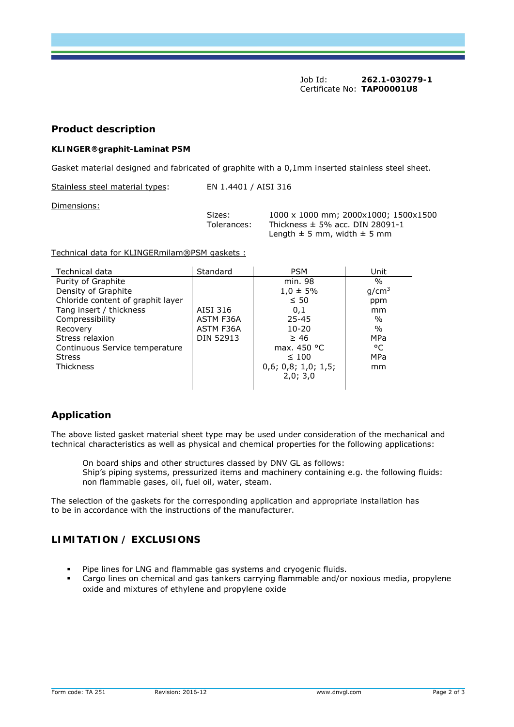Job Id: **262.1-030279-1**  Certificate No: **TAP00001U8**

## **Product description**

#### **KLINGER®graphit-Laminat PSM**

Gasket material designed and fabricated of graphite with a 0,1mm inserted stainless steel sheet.

Stainless steel material types: EN 1.4401 / AISI 316

Dimensions:

Sizes:  $1000 \times 1000$  mm; 2000 $\times 1000$ ; 1500 $\times 1500$ <br>Tolerances: Thickness ± 5% acc. DIN 28091-1 Thickness  $\pm$  5% acc. DIN 28091-1 Length  $\pm$  5 mm, width  $\pm$  5 mm

Technical data for KLINGERmilam®PSM gaskets :

| Technical data                    | Standard         | <b>PSM</b>          | Unit              |
|-----------------------------------|------------------|---------------------|-------------------|
| Purity of Graphite                |                  | min. 98             | $\frac{0}{0}$     |
| Density of Graphite               |                  | $1.0 \pm 5\%$       | q/cm <sup>3</sup> |
| Chloride content of graphit layer |                  | $\leq 50$           | ppm               |
| Tang insert / thickness           | AISI 316         | 0,1                 | mm                |
| Compressibility                   | ASTM F36A        | $25 - 45$           | $\%$              |
| Recovery                          | ASTM F36A        | $10 - 20$           | $\%$              |
| Stress relaxion                   | <b>DIN 52913</b> | $\geq 46$           | <b>MPa</b>        |
| Continuous Service temperature    |                  | max. $450 °C$       | °C                |
| <b>Stress</b>                     |                  | $\leq 100$          | <b>MPa</b>        |
| <b>Thickness</b>                  |                  | 0,6; 0,8; 1,0; 1,5; | mm                |
|                                   |                  | 2,0; 3,0            |                   |
|                                   |                  |                     |                   |

# **Application**

The above listed gasket material sheet type may be used under consideration of the mechanical and technical characteristics as well as physical and chemical properties for the following applications:

On board ships and other structures classed by DNV GL as follows: Ship's piping systems, pressurized items and machinery containing e.g. the following fluids: non flammable gases, oil, fuel oil, water, steam.

The selection of the gaskets for the corresponding application and appropriate installation has to be in accordance with the instructions of the manufacturer.

# **LIMITATION / EXCLUSIONS**

- Pipe lines for LNG and flammable gas systems and cryogenic fluids.
- Cargo lines on chemical and gas tankers carrying flammable and/or noxious media, propylene oxide and mixtures of ethylene and propylene oxide